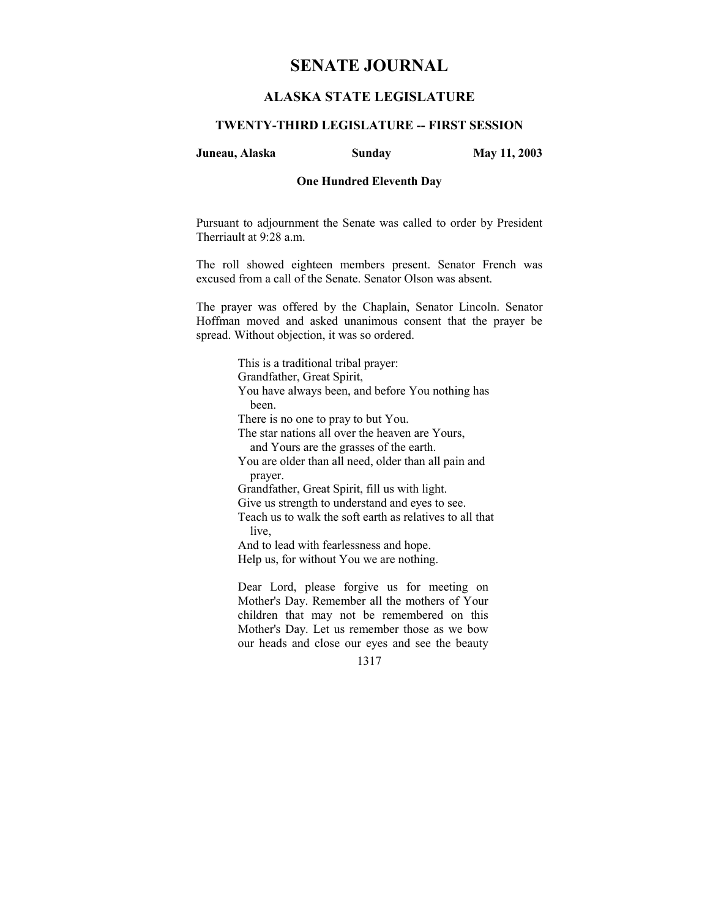# **SENATE JOURNAL**

# **ALASKA STATE LEGISLATURE**

## **TWENTY-THIRD LEGISLATURE -- FIRST SESSION**

**Juneau, Alaska Sunday May 11, 2003** 

### **One Hundred Eleventh Day**

Pursuant to adjournment the Senate was called to order by President Therriault at 9:28 a.m.

The roll showed eighteen members present. Senator French was excused from a call of the Senate. Senator Olson was absent.

The prayer was offered by the Chaplain, Senator Lincoln. Senator Hoffman moved and asked unanimous consent that the prayer be spread. Without objection, it was so ordered.

This is a traditional tribal prayer: Grandfather, Great Spirit, You have always been, and before You nothing has been. There is no one to pray to but You. The star nations all over the heaven are Yours, and Yours are the grasses of the earth. You are older than all need, older than all pain and prayer. Grandfather, Great Spirit, fill us with light. Give us strength to understand and eyes to see. Teach us to walk the soft earth as relatives to all that live, And to lead with fearlessness and hope. Help us, for without You we are nothing.

Dear Lord, please forgive us for meeting on Mother's Day. Remember all the mothers of Your children that may not be remembered on this Mother's Day. Let us remember those as we bow our heads and close our eyes and see the beauty

1317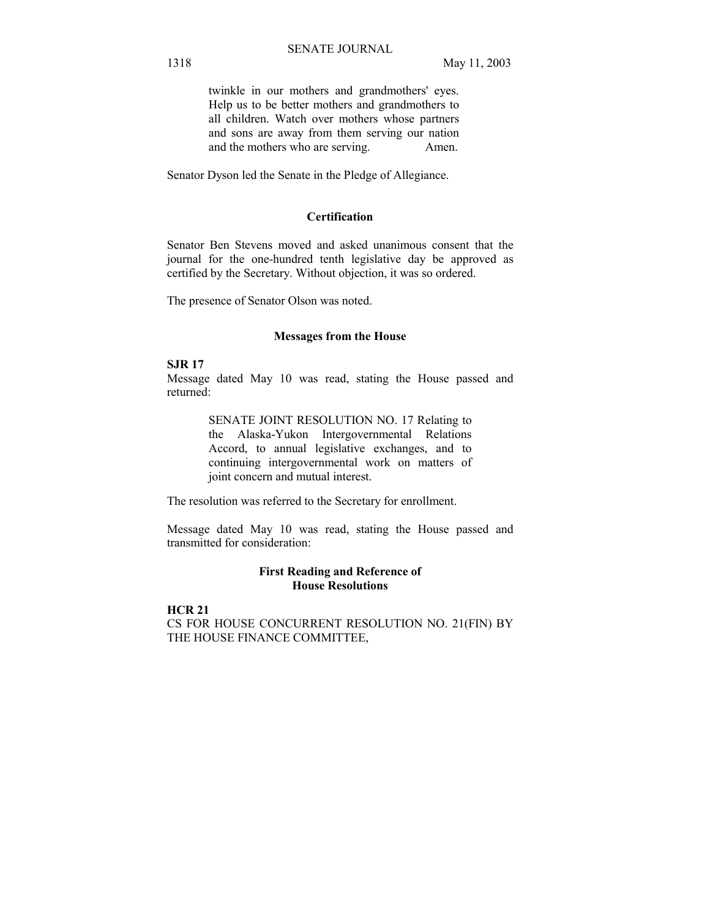twinkle in our mothers and grandmothers' eyes. Help us to be better mothers and grandmothers to all children. Watch over mothers whose partners and sons are away from them serving our nation and the mothers who are serving. Amen.

Senator Dyson led the Senate in the Pledge of Allegiance.

### **Certification**

Senator Ben Stevens moved and asked unanimous consent that the journal for the one-hundred tenth legislative day be approved as certified by the Secretary. Without objection, it was so ordered.

The presence of Senator Olson was noted.

#### **Messages from the House**

#### **SJR 17**

Message dated May 10 was read, stating the House passed and returned:

> SENATE JOINT RESOLUTION NO. 17 Relating to the Alaska-Yukon Intergovernmental Relations Accord, to annual legislative exchanges, and to continuing intergovernmental work on matters of joint concern and mutual interest.

The resolution was referred to the Secretary for enrollment.

Message dated May 10 was read, stating the House passed and transmitted for consideration:

## **First Reading and Reference of House Resolutions**

**HCR 21**  CS FOR HOUSE CONCURRENT RESOLUTION NO. 21(FIN) BY THE HOUSE FINANCE COMMITTEE,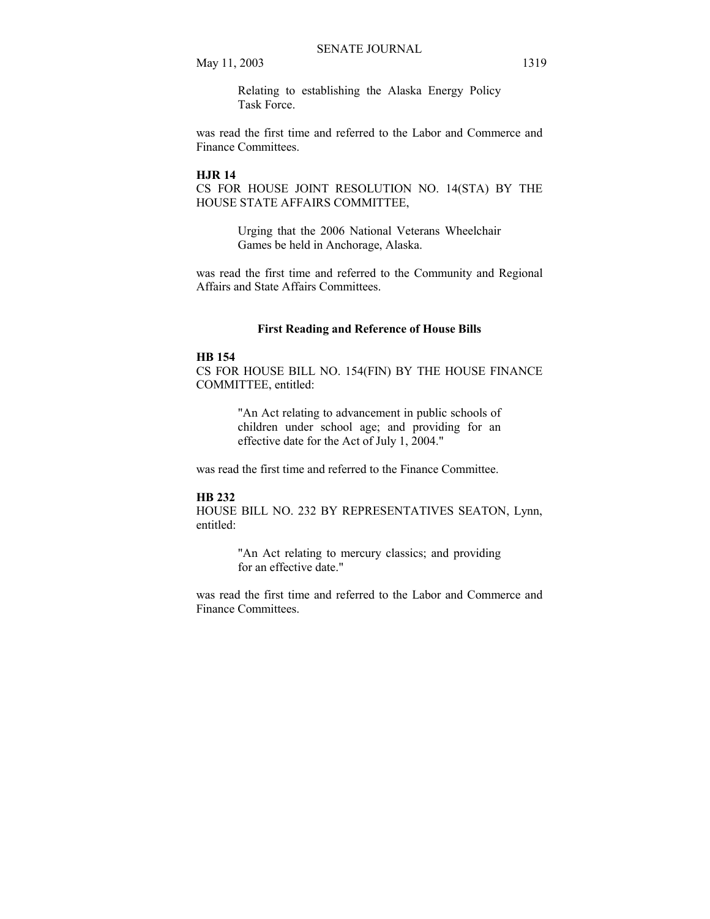Relating to establishing the Alaska Energy Policy Task Force.

was read the first time and referred to the Labor and Commerce and Finance Committees.

#### **HJR 14**

CS FOR HOUSE JOINT RESOLUTION NO. 14(STA) BY THE HOUSE STATE AFFAIRS COMMITTEE,

> Urging that the 2006 National Veterans Wheelchair Games be held in Anchorage, Alaska.

was read the first time and referred to the Community and Regional Affairs and State Affairs Committees.

### **First Reading and Reference of House Bills**

### **HB 154**

CS FOR HOUSE BILL NO. 154(FIN) BY THE HOUSE FINANCE COMMITTEE, entitled:

> "An Act relating to advancement in public schools of children under school age; and providing for an effective date for the Act of July 1, 2004."

was read the first time and referred to the Finance Committee.

# **HB 232**

HOUSE BILL NO. 232 BY REPRESENTATIVES SEATON, Lynn, entitled:

> "An Act relating to mercury classics; and providing for an effective date."

was read the first time and referred to the Labor and Commerce and Finance Committees.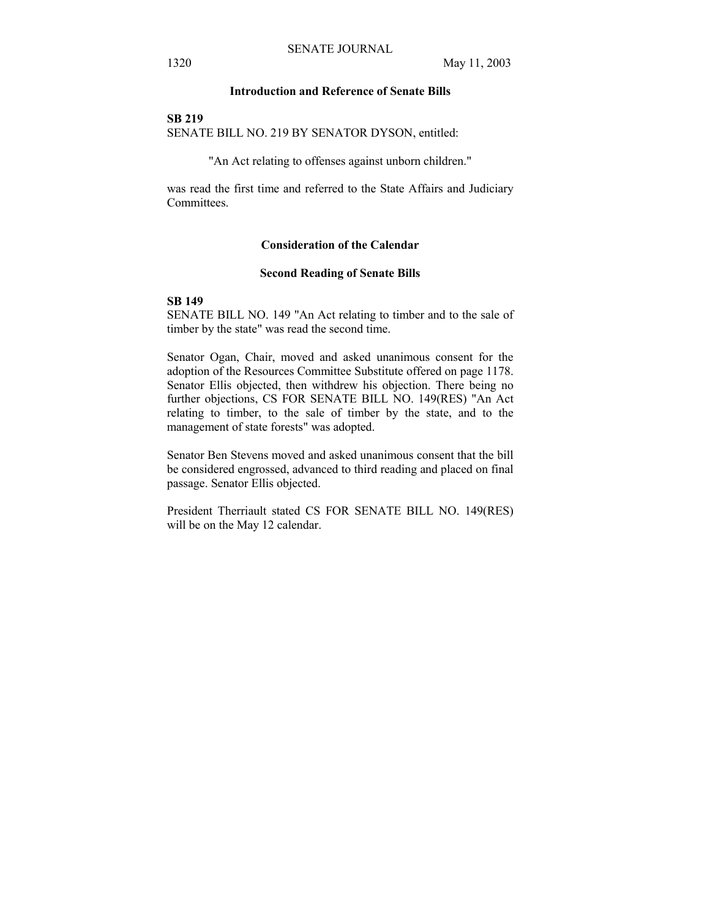## **Introduction and Reference of Senate Bills**

#### **SB 219**

SENATE BILL NO. 219 BY SENATOR DYSON, entitled:

"An Act relating to offenses against unborn children."

was read the first time and referred to the State Affairs and Judiciary **Committees** 

### **Consideration of the Calendar**

## **Second Reading of Senate Bills**

# **SB 149**

SENATE BILL NO. 149 "An Act relating to timber and to the sale of timber by the state" was read the second time.

Senator Ogan, Chair, moved and asked unanimous consent for the adoption of the Resources Committee Substitute offered on page 1178. Senator Ellis objected, then withdrew his objection. There being no further objections, CS FOR SENATE BILL NO. 149(RES) "An Act relating to timber, to the sale of timber by the state, and to the management of state forests" was adopted.

Senator Ben Stevens moved and asked unanimous consent that the bill be considered engrossed, advanced to third reading and placed on final passage. Senator Ellis objected.

President Therriault stated CS FOR SENATE BILL NO. 149(RES) will be on the May 12 calendar.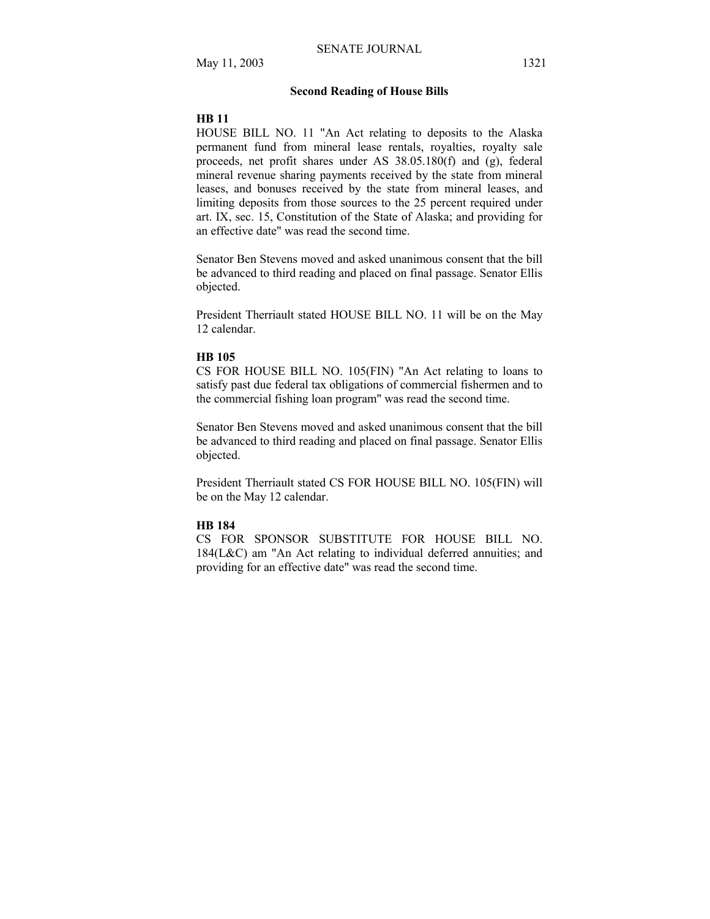### **Second Reading of House Bills**

#### **HB 11**

HOUSE BILL NO. 11 "An Act relating to deposits to the Alaska permanent fund from mineral lease rentals, royalties, royalty sale proceeds, net profit shares under AS 38.05.180(f) and (g), federal mineral revenue sharing payments received by the state from mineral leases, and bonuses received by the state from mineral leases, and limiting deposits from those sources to the 25 percent required under art. IX, sec. 15, Constitution of the State of Alaska; and providing for an effective date" was read the second time.

Senator Ben Stevens moved and asked unanimous consent that the bill be advanced to third reading and placed on final passage. Senator Ellis objected.

President Therriault stated HOUSE BILL NO. 11 will be on the May 12 calendar.

### **HB 105**

CS FOR HOUSE BILL NO. 105(FIN) "An Act relating to loans to satisfy past due federal tax obligations of commercial fishermen and to the commercial fishing loan program" was read the second time.

Senator Ben Stevens moved and asked unanimous consent that the bill be advanced to third reading and placed on final passage. Senator Ellis objected.

President Therriault stated CS FOR HOUSE BILL NO. 105(FIN) will be on the May 12 calendar.

### **HB 184**

CS FOR SPONSOR SUBSTITUTE FOR HOUSE BILL NO. 184(L&C) am "An Act relating to individual deferred annuities; and providing for an effective date" was read the second time.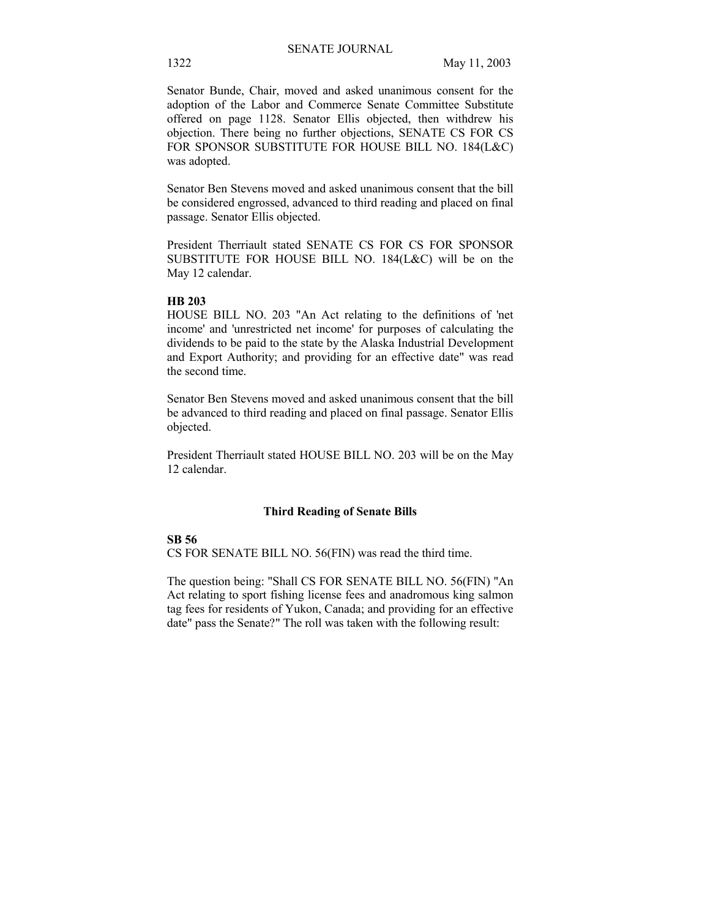Senator Bunde, Chair, moved and asked unanimous consent for the adoption of the Labor and Commerce Senate Committee Substitute offered on page 1128. Senator Ellis objected, then withdrew his objection. There being no further objections, SENATE CS FOR CS FOR SPONSOR SUBSTITUTE FOR HOUSE BILL NO. 184(L&C) was adopted.

Senator Ben Stevens moved and asked unanimous consent that the bill be considered engrossed, advanced to third reading and placed on final passage. Senator Ellis objected.

President Therriault stated SENATE CS FOR CS FOR SPONSOR SUBSTITUTE FOR HOUSE BILL NO. 184(L&C) will be on the May 12 calendar.

### **HB 203**

HOUSE BILL NO. 203 "An Act relating to the definitions of 'net income' and 'unrestricted net income' for purposes of calculating the dividends to be paid to the state by the Alaska Industrial Development and Export Authority; and providing for an effective date" was read the second time.

Senator Ben Stevens moved and asked unanimous consent that the bill be advanced to third reading and placed on final passage. Senator Ellis objected.

President Therriault stated HOUSE BILL NO. 203 will be on the May 12 calendar.

### **Third Reading of Senate Bills**

### **SB 56**

CS FOR SENATE BILL NO. 56(FIN) was read the third time.

The question being: "Shall CS FOR SENATE BILL NO. 56(FIN) "An Act relating to sport fishing license fees and anadromous king salmon tag fees for residents of Yukon, Canada; and providing for an effective date" pass the Senate?" The roll was taken with the following result: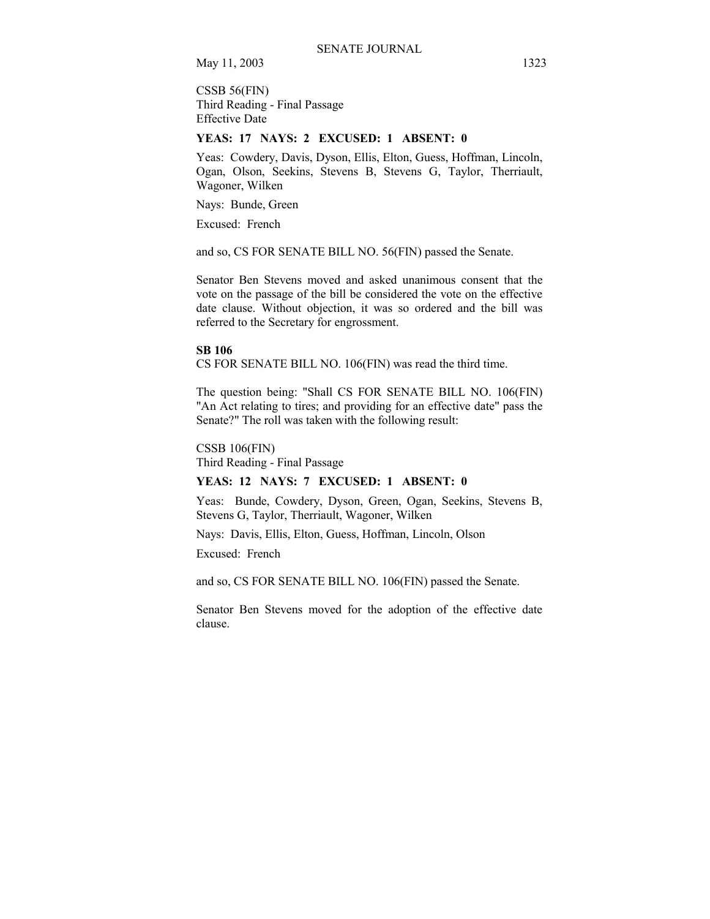CSSB 56(FIN) Third Reading - Final Passage Effective Date

#### **YEAS: 17 NAYS: 2 EXCUSED: 1 ABSENT: 0**

Yeas: Cowdery, Davis, Dyson, Ellis, Elton, Guess, Hoffman, Lincoln, Ogan, Olson, Seekins, Stevens B, Stevens G, Taylor, Therriault, Wagoner, Wilken

Nays: Bunde, Green

Excused: French

and so, CS FOR SENATE BILL NO. 56(FIN) passed the Senate.

Senator Ben Stevens moved and asked unanimous consent that the vote on the passage of the bill be considered the vote on the effective date clause. Without objection, it was so ordered and the bill was referred to the Secretary for engrossment.

#### **SB 106**

CS FOR SENATE BILL NO. 106(FIN) was read the third time.

The question being: "Shall CS FOR SENATE BILL NO. 106(FIN) "An Act relating to tires; and providing for an effective date" pass the Senate?" The roll was taken with the following result:

CSSB 106(FIN) Third Reading - Final Passage

### **YEAS: 12 NAYS: 7 EXCUSED: 1 ABSENT: 0**

Yeas: Bunde, Cowdery, Dyson, Green, Ogan, Seekins, Stevens B, Stevens G, Taylor, Therriault, Wagoner, Wilken

Nays: Davis, Ellis, Elton, Guess, Hoffman, Lincoln, Olson

Excused: French

and so, CS FOR SENATE BILL NO. 106(FIN) passed the Senate.

Senator Ben Stevens moved for the adoption of the effective date clause.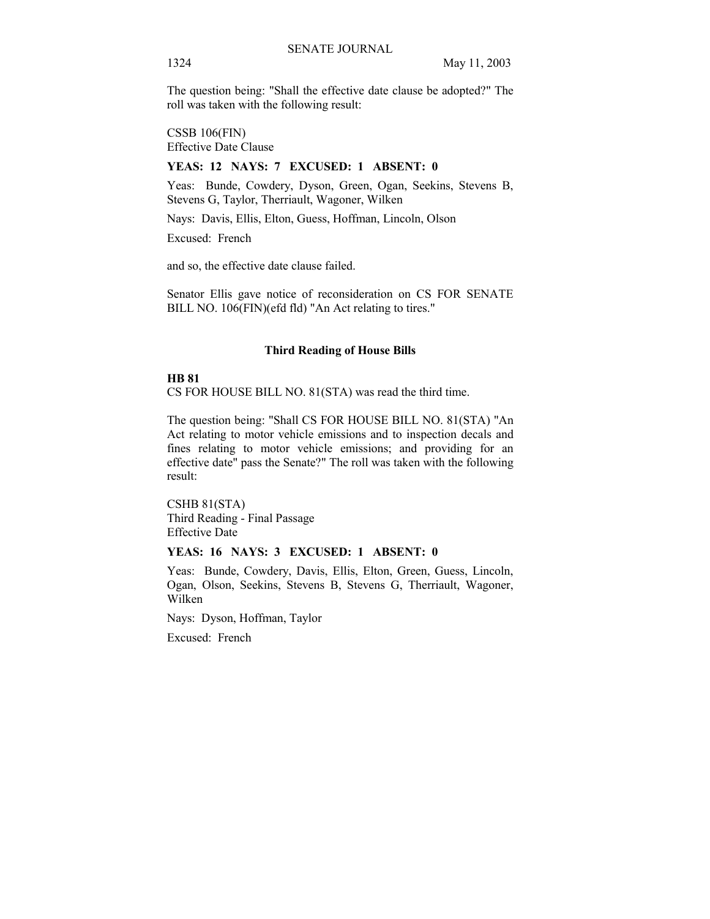The question being: "Shall the effective date clause be adopted?" The roll was taken with the following result:

CSSB 106(FIN) Effective Date Clause

## **YEAS: 12 NAYS: 7 EXCUSED: 1 ABSENT: 0**

Yeas: Bunde, Cowdery, Dyson, Green, Ogan, Seekins, Stevens B, Stevens G, Taylor, Therriault, Wagoner, Wilken

Nays: Davis, Ellis, Elton, Guess, Hoffman, Lincoln, Olson

Excused: French

and so, the effective date clause failed.

Senator Ellis gave notice of reconsideration on CS FOR SENATE BILL NO. 106(FIN)(efd fld) "An Act relating to tires."

#### **Third Reading of House Bills**

#### **HB 81**

CS FOR HOUSE BILL NO. 81(STA) was read the third time.

The question being: "Shall CS FOR HOUSE BILL NO. 81(STA) "An Act relating to motor vehicle emissions and to inspection decals and fines relating to motor vehicle emissions; and providing for an effective date" pass the Senate?" The roll was taken with the following result:

CSHB 81(STA) Third Reading - Final Passage Effective Date

### **YEAS: 16 NAYS: 3 EXCUSED: 1 ABSENT: 0**

Yeas: Bunde, Cowdery, Davis, Ellis, Elton, Green, Guess, Lincoln, Ogan, Olson, Seekins, Stevens B, Stevens G, Therriault, Wagoner, Wilken

Nays: Dyson, Hoffman, Taylor

Excused: French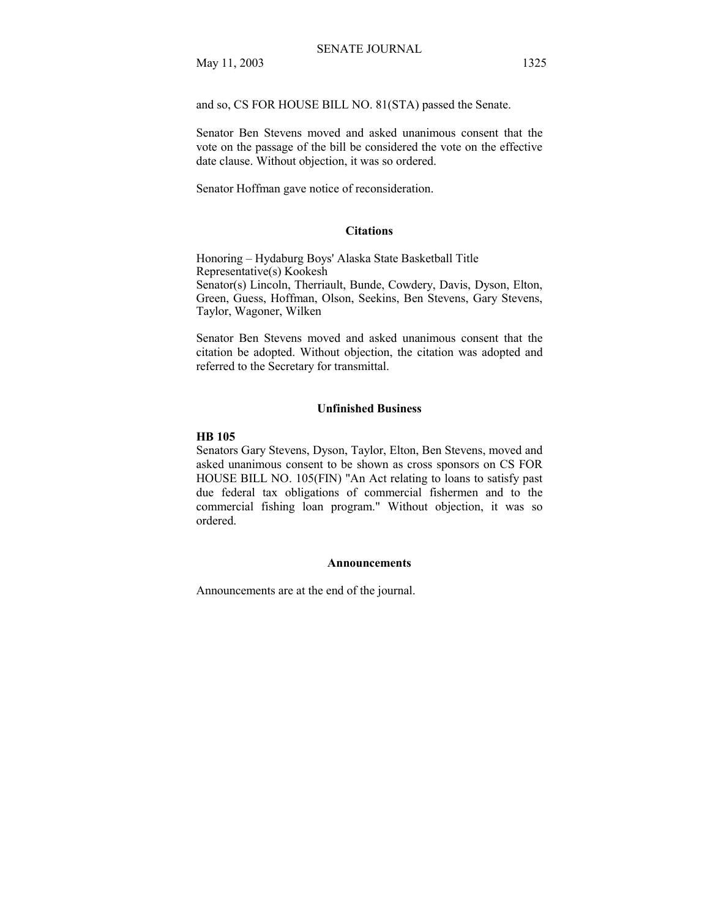and so, CS FOR HOUSE BILL NO. 81(STA) passed the Senate.

Senator Ben Stevens moved and asked unanimous consent that the vote on the passage of the bill be considered the vote on the effective date clause. Without objection, it was so ordered.

Senator Hoffman gave notice of reconsideration.

### **Citations**

Honoring – Hydaburg Boys' Alaska State Basketball Title Representative(s) Kookesh Senator(s) Lincoln, Therriault, Bunde, Cowdery, Davis, Dyson, Elton, Green, Guess, Hoffman, Olson, Seekins, Ben Stevens, Gary Stevens, Taylor, Wagoner, Wilken

Senator Ben Stevens moved and asked unanimous consent that the citation be adopted. Without objection, the citation was adopted and referred to the Secretary for transmittal.

## **Unfinished Business**

#### **HB 105**

Senators Gary Stevens, Dyson, Taylor, Elton, Ben Stevens, moved and asked unanimous consent to be shown as cross sponsors on CS FOR HOUSE BILL NO. 105(FIN) "An Act relating to loans to satisfy past due federal tax obligations of commercial fishermen and to the commercial fishing loan program." Without objection, it was so ordered.

#### **Announcements**

Announcements are at the end of the journal.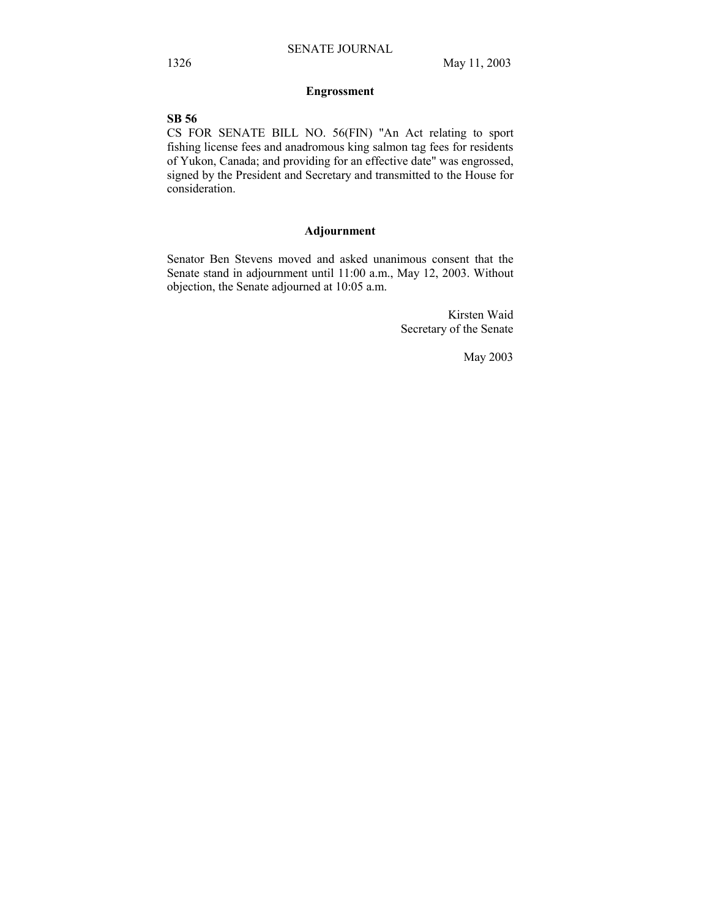# **Engrossment**

# **SB 56**

CS FOR SENATE BILL NO. 56(FIN) "An Act relating to sport fishing license fees and anadromous king salmon tag fees for residents of Yukon, Canada; and providing for an effective date" was engrossed, signed by the President and Secretary and transmitted to the House for consideration.

# **Adjournment**

Senator Ben Stevens moved and asked unanimous consent that the Senate stand in adjournment until 11:00 a.m., May 12, 2003. Without objection, the Senate adjourned at 10:05 a.m.

> Kirsten Waid Secretary of the Senate

> > May 2003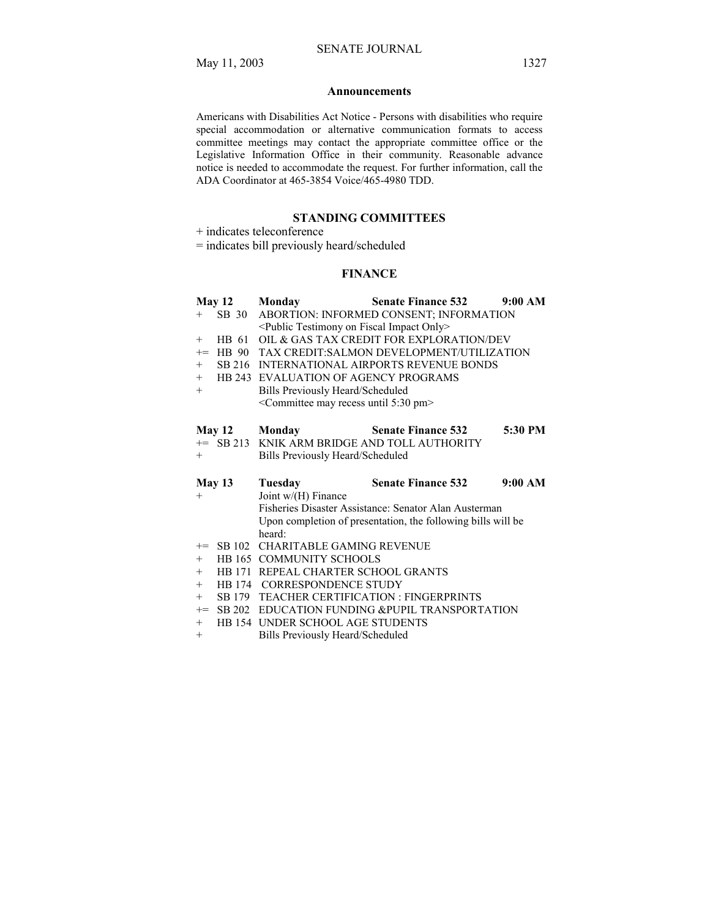#### **Announcements**

Americans with Disabilities Act Notice - Persons with disabilities who require special accommodation or alternative communication formats to access committee meetings may contact the appropriate committee office or the Legislative Information Office in their community. Reasonable advance notice is needed to accommodate the request. For further information, call the ADA Coordinator at 465-3854 Voice/465-4980 TDD.

## **STANDING COMMITTEES**

+ indicates teleconference

= indicates bill previously heard/scheduled

#### **FINANCE**

|        | May 12 Monday                                                    | Senate Finance 532 9:00 AM                         |  |
|--------|------------------------------------------------------------------|----------------------------------------------------|--|
|        |                                                                  | + SB 30 ABORTION: INFORMED CONSENT; INFORMATION    |  |
|        | <public fiscal="" impact="" on="" only="" testimony=""></public> |                                                    |  |
|        |                                                                  | + HB 61 OIL & GAS TAX CREDIT FOR EXPLORATION/DEV   |  |
|        |                                                                  | += HB 90 TAX CREDIT:SALMON DEVELOPMENT/UTILIZATION |  |
|        |                                                                  | + SB 216 INTERNATIONAL AIRPORTS REVENUE BONDS      |  |
|        | + HB 243 EVALUATION OF AGENCY PROGRAMS                           |                                                    |  |
| $^{+}$ | Bills Previously Heard/Scheduled                                 |                                                    |  |

<Committee may recess until 5:30 pm>

| <b>May 12</b> | <b>Monday</b> | <b>Senate Finance 532</b> | 5:30 PM |
|---------------|---------------|---------------------------|---------|
|               |               |                           |         |

+= SB 213 KNIK ARM BRIDGE AND TOLL AUTHORITY

+ Bills Previously Heard/Scheduled

#### **May 13 Tuesday Senate Finance 532 9:00 AM**  + Joint w/(H) Finance Fisheries Disaster Assistance: Senator Alan Austerman Upon completion of presentation, the following bills will be heard:

- += SB 102 CHARITABLE GAMING REVENUE
- + HB 165 COMMUNITY SCHOOLS
- + HB 171 REPEAL CHARTER SCHOOL GRANTS
- + HB 174 CORRESPONDENCE STUDY
- + SB 179 TEACHER CERTIFICATION : FINGERPRINTS
- += SB 202 EDUCATION FUNDING &PUPIL TRANSPORTATION
- + HB 154 UNDER SCHOOL AGE STUDENTS
- + Bills Previously Heard/Scheduled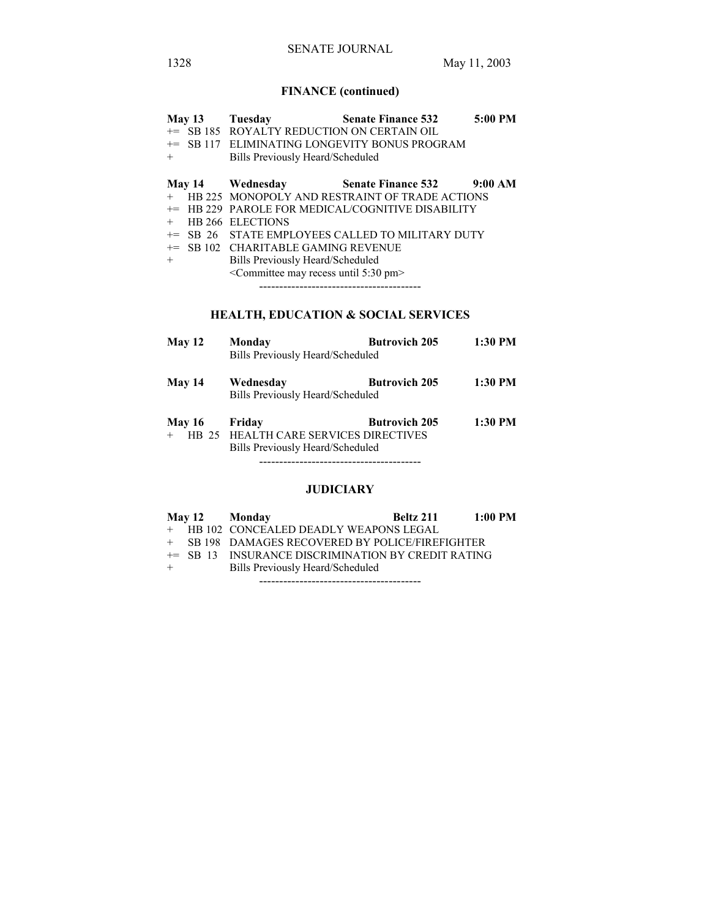# **FINANCE (continued)**

|        | May 13 Tuesday                                                  | <b>Senate Finance 532</b>                                    | 5:00 PM |
|--------|-----------------------------------------------------------------|--------------------------------------------------------------|---------|
|        | += SB 185 ROYALTY REDUCTION ON CERTAIN OIL                      |                                                              |         |
|        |                                                                 | += SB 117 ELIMINATING LONGEVITY BONUS PROGRAM                |         |
| $^{+}$ | Bills Previously Heard/Scheduled                                |                                                              |         |
|        |                                                                 | May 14 Wednesday Senate Finance 532                          | 9:00 AM |
|        |                                                                 | + HB 225 MONOPOLY AND RESTRAINT OF TRADE ACTIONS             |         |
|        |                                                                 | <sup>+=</sup> HB 229 PAROLE FOR MEDICAL/COGNITIVE DISABILITY |         |
| $+$    | <b>HB 266 ELECTIONS</b>                                         |                                                              |         |
| $+=$   |                                                                 | SB 26 STATE EMPLOYEES CALLED TO MILITARY DUTY                |         |
|        | $+=$ SB 102 CHARITABLE GAMING REVENUE                           |                                                              |         |
| $+$    | Bills Previously Heard/Scheduled                                |                                                              |         |
|        | <committee 5:30="" may="" pm="" recess="" until=""></committee> |                                                              |         |
|        |                                                                 |                                                              |         |
|        |                                                                 |                                                              |         |

# **HEALTH, EDUCATION & SOCIAL SERVICES**

| May 12        | Monday                                | <b>Butrovich 205</b> | 1:30 PM |
|---------------|---------------------------------------|----------------------|---------|
|               | Bills Previously Heard/Scheduled      |                      |         |
| May 14        | Wednesday                             | <b>Butrovich 205</b> | 1:30 PM |
|               | Bills Previously Heard/Scheduled      |                      |         |
| <b>May 16</b> | Friday                                | <b>Butrovich 205</b> | 1:30 PM |
|               | HB 25 HEALTH CARE SERVICES DIRECTIVES |                      |         |
|               | Bills Previously Heard/Scheduled      |                      |         |
|               |                                       |                      |         |

# **JUDICIARY**

|     | May 12 Monday                                      | Beltz 211 | 1:00 PM |
|-----|----------------------------------------------------|-----------|---------|
|     | + HB 102 CONCEALED DEADLY WEAPONS LEGAL            |           |         |
|     | + SB 198 DAMAGES RECOVERED BY POLICE/FIREFIGHTER   |           |         |
|     | += SB 13 INSURANCE DISCRIMINATION BY CREDIT RATING |           |         |
| $+$ | Bills Previously Heard/Scheduled                   |           |         |
|     |                                                    |           |         |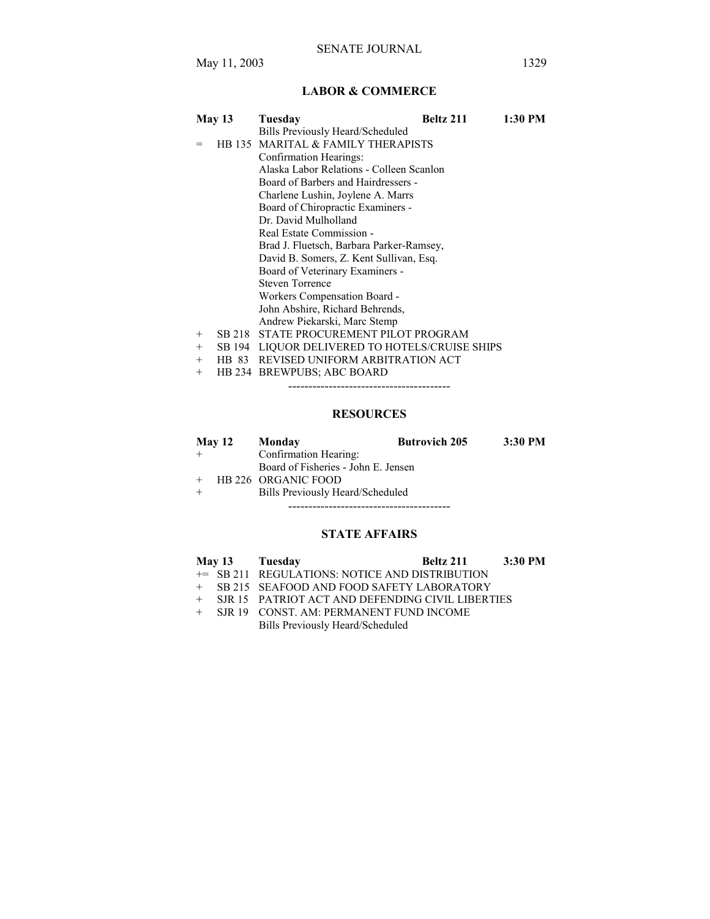# **LABOR & COMMERCE**

|        | May 13 | Tuesday                                        | <b>Beltz 211</b> | 1:30 PM |  |  |
|--------|--------|------------------------------------------------|------------------|---------|--|--|
|        |        | Bills Previously Heard/Scheduled               |                  |         |  |  |
|        |        | HB 135 MARITAL & FAMILY THERAPISTS             |                  |         |  |  |
|        |        | Confirmation Hearings:                         |                  |         |  |  |
|        |        | Alaska Labor Relations - Colleen Scanlon       |                  |         |  |  |
|        |        | Board of Barbers and Hairdressers -            |                  |         |  |  |
|        |        | Charlene Lushin, Joylene A. Marrs              |                  |         |  |  |
|        |        | Board of Chiropractic Examiners -              |                  |         |  |  |
|        |        | Dr. David Mulholland                           |                  |         |  |  |
|        |        | Real Estate Commission -                       |                  |         |  |  |
|        |        | Brad J. Fluetsch, Barbara Parker-Ramsey,       |                  |         |  |  |
|        |        | David B. Somers, Z. Kent Sullivan, Esq.        |                  |         |  |  |
|        |        | Board of Veterinary Examiners -                |                  |         |  |  |
|        |        | <b>Steven Torrence</b>                         |                  |         |  |  |
|        |        | Workers Compensation Board -                   |                  |         |  |  |
|        |        | John Abshire, Richard Behrends,                |                  |         |  |  |
|        |        | Andrew Piekarski, Marc Stemp                   |                  |         |  |  |
| $^{+}$ | SB 218 | STATE PROCUREMENT PILOT PROGRAM                |                  |         |  |  |
| $^{+}$ |        | SB 194 LIQUOR DELIVERED TO HOTELS/CRUISE SHIPS |                  |         |  |  |
| $^{+}$ | HB 83  | REVISED UNIFORM ARBITRATION ACT                |                  |         |  |  |

+ HB 234 BREWPUBS; ABC BOARD

----------------------------------------

# **RESOURCES**

| <b>May 12</b> | Monday                              | <b>Butrovich 205</b> | 3:30 PM |
|---------------|-------------------------------------|----------------------|---------|
|               | Confirmation Hearing:               |                      |         |
|               | Board of Fisheries - John E. Jensen |                      |         |
|               | HB 226 ORGANIC FOOD                 |                      |         |
|               | Bills Previously Heard/Scheduled    |                      |         |
|               |                                     |                      |         |

# **STATE AFFAIRS**

|  | May 13 Tuesday                                     | Beltz 211 3:30 PM |  |
|--|----------------------------------------------------|-------------------|--|
|  | += SB 211 REGULATIONS: NOTICE AND DISTRIBUTION     |                   |  |
|  | + SB 215 SEAFOOD AND FOOD SAFETY LABORATORY        |                   |  |
|  | + SJR 15 PATRIOT ACT AND DEFENDING CIVIL LIBERTIES |                   |  |
|  | + SJR 19 CONST. AM: PERMANENT FUND INCOME          |                   |  |
|  | <b>Bills Previously Heard/Scheduled</b>            |                   |  |